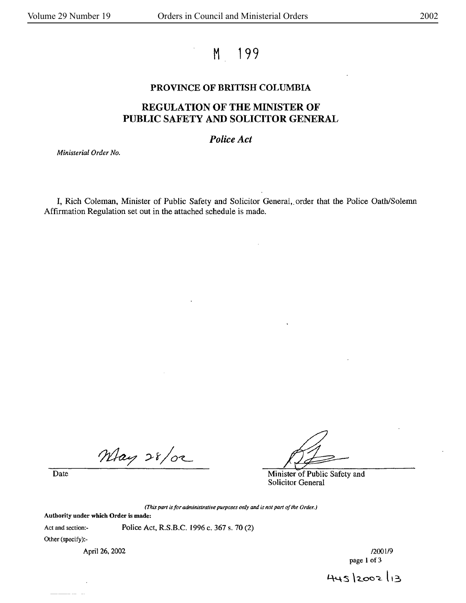# M 199

## **PROVINCE OF BRITISH COLUMBIA**

# **REGULATION OF THE MINISTER OF PUBLIC SAFETY AND SOLICITOR GENERAL**

## *Police Act*

*Ministerial Order No.* 

I, Rich Coleman. Minister of Public Safety and Solicitor General,. order that the Police Oath/Solemn Affirmation Regulation set out in the attached schedule is made.

May 28/02

Date Minister of Public Safety and Solicitor General

(This *part* is *for administrative purposes only and is not part of the Order.)* 

**Authority under which Order is made:** 

Act and section:- Police Act, **R.S.B.C.** 1996 c. 367 s. 70 (2)

Other (specify):-

April 26, 2002 *(2001/9)* 

page 1 of 3

 $445$   $2002$   $13$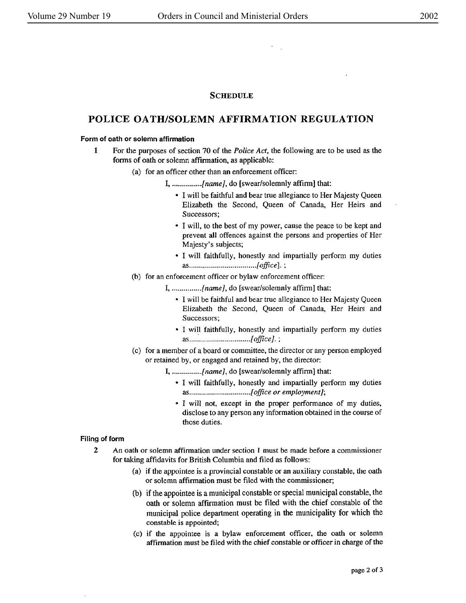### **SCHEDULE**

# **POLICE OATH/SOLEMN AFFIRMATION REGULATION**

#### **Form of oath or solemn affirmation**

- **1** For the purposes of section 70 of the *Police Act,* the following are to be used as the forms of oath or solemn affirmation, as applicable:
	- (a) for an officer other than an enforcement officer:
		- I, *...............* [name], do [swear/solemnly affirm] that:
			- I will be faithful and bear true allegiance to Her Majesty Queen Elizabeth the Second, Queen of Canada, Her Heirs and Successors;
			- I will, to the best of my power, cause the peace to be kept and prevent **all** offences against the persons and properties of Her Majesty's subjects;
			- I will faithfully, honestly and impartially perform my duties *as .................................. [office].* ;
	- (b) for an enforcement officer or bylaw enforcement officer:
		- I, *............... [name],* do [swear/solemnly affirm] that:
			- I will be faithful and bear true allegiance to Her Majesty Queen Elizabeth the Second, Queen of Canada, Her Heirs and Successors;
			- I will faithfully, honestly and impartially perform my duties *as .... : .......................... [office].;*
	- ( c) for a member of a board or committee, the director or any person employed or retained by, or engaged and retained by, the director:
		- I, *...............* {name], do [swear/solemnly affirm] that:
			- I will faithfully, honestly and impartially perform my duties *as ............................... [office or employment];*
			- I **will not,** except in the proper performance of my duties, disclose to any person any information obtained in the course of those duties.

#### Filing **of form**

- 2 An oath or solemn affirmation under section I must be made before a commissioner for taking affidavits for British Columbia and filed as follows:
	- (a) if the appointee is a provincial constable or an auxiliary constable, the oath or solemn affirmation must be filed with the commissioner;
	- (b) if the appointee is a municipal constable or special municipal constable, the oath or solemn affirmation must be filed with the chief constable of the municipal police department operating in the municipality for which the constable is appointed;
	- (c) if the appointee is a bylaw enforcement officer, the oath or solemn affirmation must be filed with the chief constable or officer in charge of the